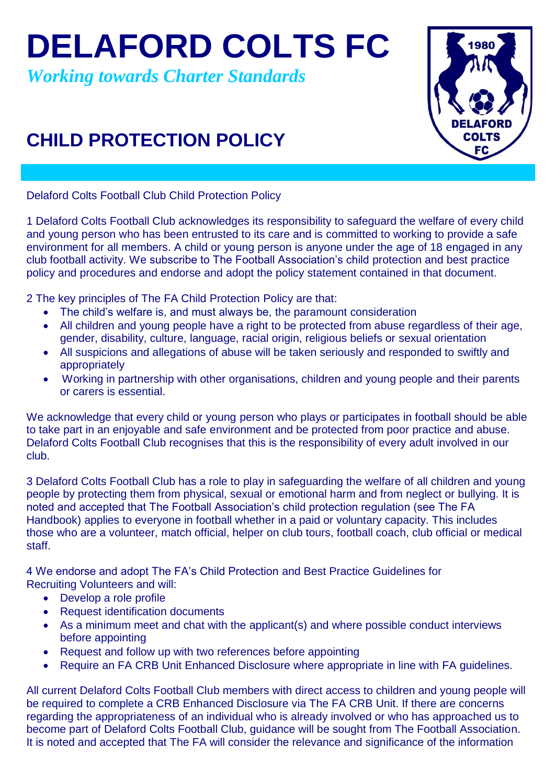**DELAFORD COLTS FC**

*Working towards Charter Standards*

## **CHILD PROTECTION POLICY**



Delaford Colts Football Club Child Protection Policy

1 Delaford Colts Football Club acknowledges its responsibility to safeguard the welfare of every child and young person who has been entrusted to its care and is committed to working to provide a safe environment for all members. A child or young person is anyone under the age of 18 engaged in any club football activity. We subscribe to The Football Association's child protection and best practice policy and procedures and endorse and adopt the policy statement contained in that document.

2 The key principles of The FA Child Protection Policy are that:

- The child's welfare is, and must always be, the paramount consideration
- All children and young people have a right to be protected from abuse regardless of their age, gender, disability, culture, language, racial origin, religious beliefs or sexual orientation
- All suspicions and allegations of abuse will be taken seriously and responded to swiftly and appropriately
- Working in partnership with other organisations, children and young people and their parents or carers is essential.

We acknowledge that every child or young person who plays or participates in football should be able to take part in an enjoyable and safe environment and be protected from poor practice and abuse. Delaford Colts Football Club recognises that this is the responsibility of every adult involved in our club.

3 Delaford Colts Football Club has a role to play in safeguarding the welfare of all children and young people by protecting them from physical, sexual or emotional harm and from neglect or bullying. It is noted and accepted that The Football Association's child protection regulation (see The FA Handbook) applies to everyone in football whether in a paid or voluntary capacity. This includes those who are a volunteer, match official, helper on club tours, football coach, club official or medical staff.

4 We endorse and adopt The FA's Child Protection and Best Practice Guidelines for Recruiting Volunteers and will:

- Develop a role profile
- Request identification documents
- As a minimum meet and chat with the applicant(s) and where possible conduct interviews before appointing
- Request and follow up with two references before appointing
- Require an FA CRB Unit Enhanced Disclosure where appropriate in line with FA guidelines.

All current Delaford Colts Football Club members with direct access to children and young people will be required to complete a CRB Enhanced Disclosure via The FA CRB Unit. If there are concerns regarding the appropriateness of an individual who is already involved or who has approached us to become part of Delaford Colts Football Club, guidance will be sought from The Football Association. It is noted and accepted that The FA will consider the relevance and significance of the information